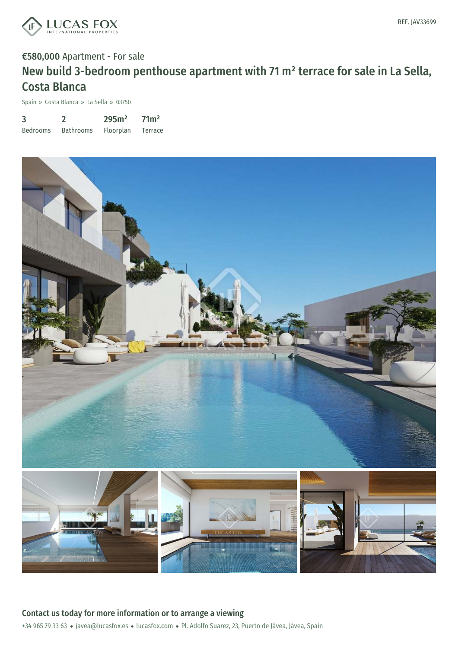

# €580,000 Apartment - For sale New build 3-bedroom penthouse apartment with 71 m² terrace for sale in La Sella, Costa Blanca

Spain » Costa Blanca » La Sella » 03750

| 3               |                  | 295m <sup>2</sup> | 71 <sup>m²</sup> |
|-----------------|------------------|-------------------|------------------|
| <b>Bedrooms</b> | <b>Bathrooms</b> | Floorplan         | Terrace          |

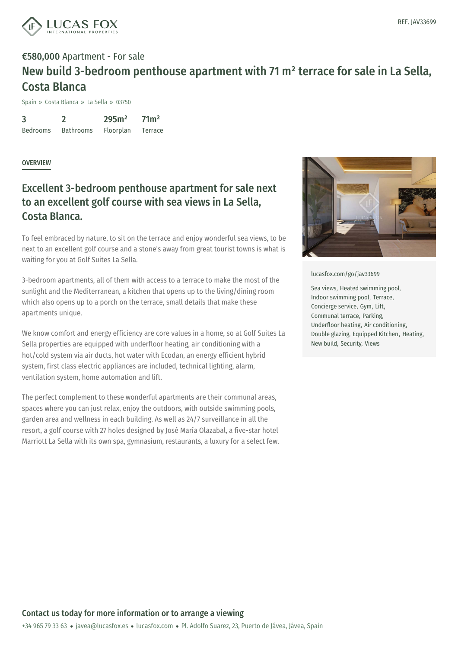

## €580,000 Apartment - For sale New build 3-bedroom penthouse apartment with 71 m² terrace for sale in La Sella, Costa Blanca

Spain » Costa Blanca » La Sella » 03750

3 Bedrooms 2 Bathrooms 295m² Floorplan 71m² Terrace

### **OVERVIEW**

## Excellent 3-bedroom penthouse apartment for sale next to an excellent golf course with sea views in La Sella, Costa Blanca.

To feel embraced by nature, to sit on the terrace and enjoy wonderful sea views, to be next to an excellent golf course and a stone's away from great tourist towns is what is waiting for you at Golf Suites La Sella.

3-bedroom apartments, all of them with access to a terrace to make the most of the sunlight and the Mediterranean, a kitchen that opens up to the living/dining room which also opens up to a porch on the terrace, small details that make these apartments unique.

We know comfort and energy efficiency are core values in a home, so at Golf Suites La Sella properties are equipped with underfloor heating, air conditioning with a hot/cold system via air ducts, hot water with Ecodan, an energy efficient hybrid system, first class electric appliances are included, technical lighting, alarm, ventilation system, home automation and lift.

The perfect complement to these wonderful apartments are their communal areas, spaces where you can just relax, enjoy the outdoors, with outside swimming pools, garden area and wellness in each building. As well as 24/7 surveillance in all the resort, a golf course with 27 holes designed by José María Olazabal, a five-star hotel Marriott La Sella with its own spa, gymnasium, restaurants, a luxury for a select few.



#### [lucasfox.com/go/jav33699](https://www.lucasfox.com/go/jav33699)

Sea views, Heated swimming pool, Indoor swimming pool, Terrace, Concierge service, Gym, Lift, Communal terrace, Parking, Underfloor heating, Air conditioning, Double glazing, Equipped Kitchen, Heating, New build, Security, Views